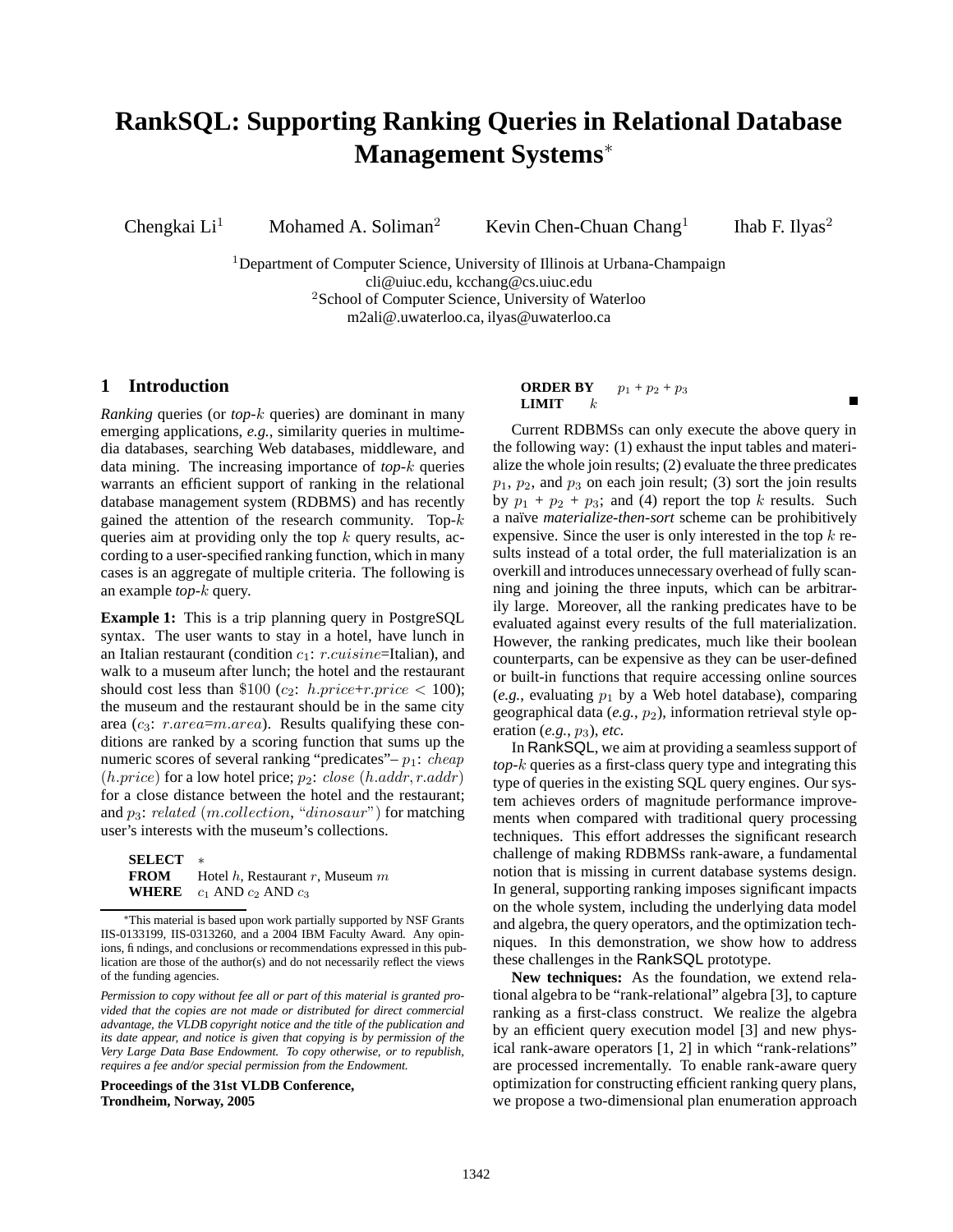# **RankSQL: Supporting Ranking Queries in Relational Database Management Systems**<sup>∗</sup>

Chengkai Li<sup>1</sup> Mohamed A. Soliman<sup>2</sup> Kevin Chen-Chuan Chang<sup>1</sup>

Ihab F. Ilyas<sup>2</sup>

Ē

<sup>1</sup>Department of Computer Science, University of Illinois at Urbana-Champaign cli@uiuc.edu, kcchang@cs.uiuc.edu <sup>2</sup>School of Computer Science, University of Waterloo m2ali@.uwaterloo.ca, ilyas@uwaterloo.ca

## **1 Introduction**

*Ranking* queries (or *top-*k queries) are dominant in many emerging applications, *e.g.*, similarity queries in multimedia databases, searching Web databases, middleware, and data mining. The increasing importance of *top*-k queries warrants an efficient support of ranking in the relational database management system (RDBMS) and has recently gained the attention of the research community. Top- $k$ queries aim at providing only the top  $k$  query results, according to a user-specified ranking function, which in many cases is an aggregate of multiple criteria. The following is an example *top*-k query.

**Example 1:** This is a trip planning query in PostgreSQL syntax. The user wants to stay in a hotel, have lunch in an Italian restaurant (condition  $c_1$ : r.cuisine=Italian), and walk to a museum after lunch; the hotel and the restaurant should cost less than \$100 (c<sub>2</sub>: h.price+r.price < 100); the museum and the restaurant should be in the same city area ( $c_3$ :  $r.area = m.area$ ). Results qualifying these conditions are ranked by a scoring function that sums up the numeric scores of several ranking "predicates" –  $p_1$ : *cheap*  $(h.\text{price})$  for a low hotel price;  $p_2$ : close  $(h.\text{addr}, r.\text{addr})$ for a close distance between the hotel and the restaurant; and  $p_3$ : related (m.collection, "dinosaur") for matching user's interests with the museum's collections.

| <b>SELECT</b> |                                               |
|---------------|-----------------------------------------------|
|               | <b>FROM</b> Hotel h, Restaurant r, Museum $m$ |
|               | <b>WHERE</b> $c_1$ AND $c_2$ AND $c_3$        |

<sup>∗</sup>This material is based upon work partially supported by NSF Grants IIS-0133199, IIS-0313260, and a 2004 IBM Faculty Award. Any opinions, findings, and conclusions or recommendations expressed in this publication are those of the author(s) and do not necessarily reflect the views of the funding agencies.

**Proceedings of the 31st VLDB Conference, Trondheim, Norway, 2005**

## **ORDER BY**  $p_1 + p_2 + p_3$ **LIMIT**  $k$

Current RDBMSs can only execute the above query in the following way: (1) exhaust the input tables and materialize the whole join results; (2) evaluate the three predicates  $p_1$ ,  $p_2$ , and  $p_3$  on each join result; (3) sort the join results by  $p_1 + p_2 + p_3$ ; and (4) report the top k results. Such a naïve *materialize-then-sort* scheme can be prohibitively expensive. Since the user is only interested in the top  $k$  results instead of a total order, the full materialization is an overkill and introduces unnecessary overhead of fully scanning and joining the three inputs, which can be arbitrarily large. Moreover, all the ranking predicates have to be evaluated against every results of the full materialization. However, the ranking predicates, much like their boolean counterparts, can be expensive as they can be user-defined or built-in functions that require accessing online sources  $(e.g., evaluating p<sub>1</sub> by a Web hotel database), comparing$ geographical data (*e.g.*, p2), information retrieval style operation (*e.g.*, p3), *etc.*

In RankSQL, we aim at providing a seamless support of *top*-k queries as a first-class query type and integrating this type of queries in the existing SQL query engines. Our system achieves orders of magnitude performance improvements when compared with traditional query processing techniques. This effort addresses the significant research challenge of making RDBMSs rank-aware, a fundamental notion that is missing in current database systems design. In general, supporting ranking imposes significant impacts on the whole system, including the underlying data model and algebra, the query operators, and the optimization techniques. In this demonstration, we show how to address these challenges in the RankSQL prototype.

**New techniques:** As the foundation, we extend relational algebra to be "rank-relational" algebra [3], to capture ranking as a first-class construct. We realize the algebra by an efficient query execution model [3] and new physical rank-aware operators [1, 2] in which "rank-relations" are processed incrementally. To enable rank-aware query optimization for constructing efficient ranking query plans, we propose a two-dimensional plan enumeration approach

*Permission to copy without fee all or part of this material is granted provided that the copies are not made or distributed for direct commercial advantage, the VLDB copyright notice and the title of the publication and its date appear, and notice is given that copying is by permission of the Very Large Data Base Endowment. To copy otherwise, or to republish, requires a fee and/or special permission from the Endowment.*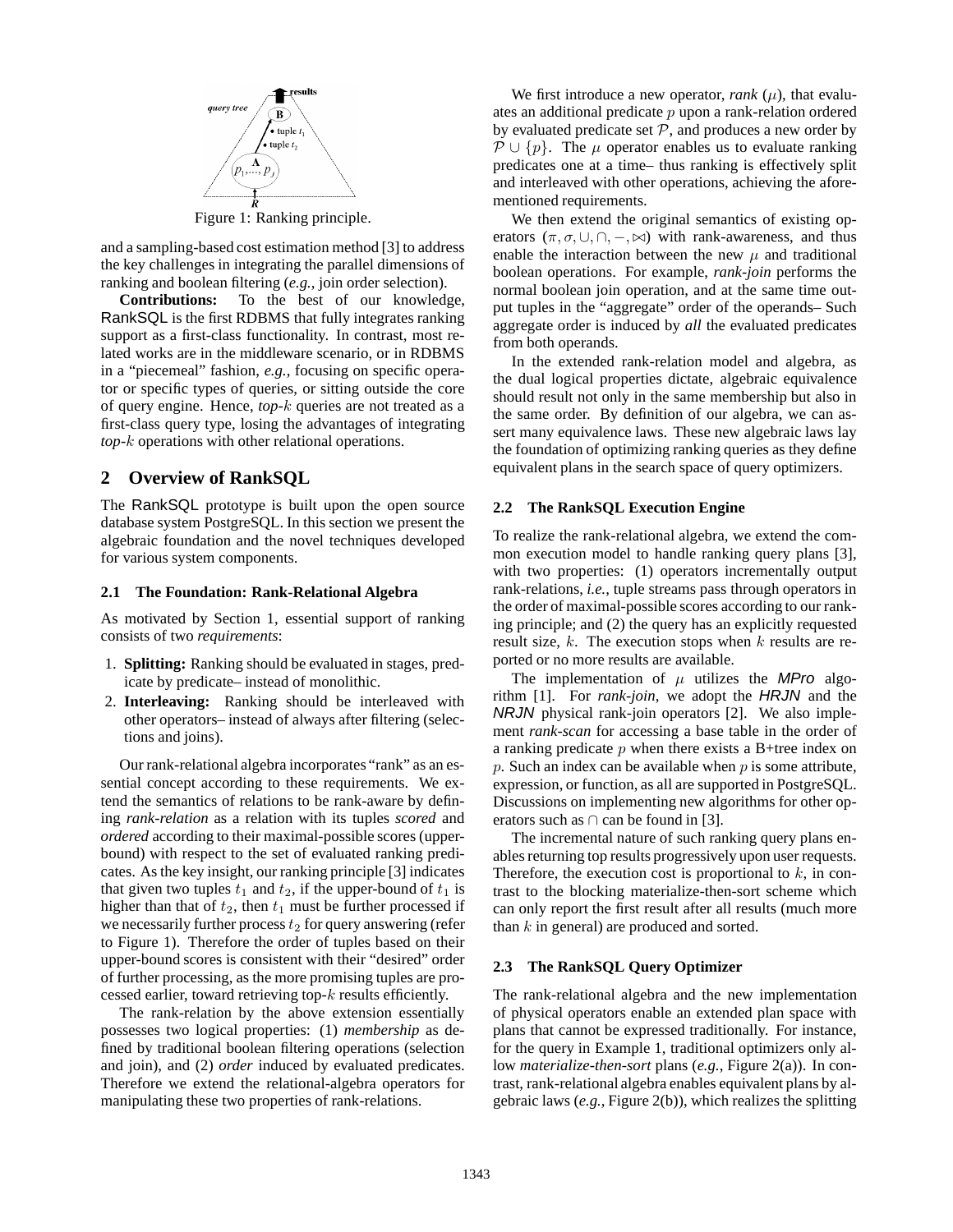

Figure 1: Ranking principle.

and a sampling-based cost estimation method [3] to address the key challenges in integrating the parallel dimensions of ranking and boolean filtering (*e.g.*, join order selection).

**Contributions:** To the best of our knowledge, RankSQL is the first RDBMS that fully integrates ranking support as a first-class functionality. In contrast, most related works are in the middleware scenario, or in RDBMS in a "piecemeal" fashion, *e.g.*, focusing on specific operator or specific types of queries, or sitting outside the core of query engine. Hence, *top*-k queries are not treated as a first-class query type, losing the advantages of integrating *top*-k operations with other relational operations.

# **2 Overview of RankSQL**

The RankSQL prototype is built upon the open source database system PostgreSQL. In this section we present the algebraic foundation and the novel techniques developed for various system components.

## **2.1 The Foundation: Rank-Relational Algebra**

As motivated by Section 1, essential support of ranking consists of two *requirements*:

- 1. **Splitting:** Ranking should be evaluated in stages, predicate by predicate– instead of monolithic.
- 2. **Interleaving:** Ranking should be interleaved with other operators– instead of always after filtering (selections and joins).

Our rank-relational algebra incorporates "rank" as an essential concept according to these requirements. We extend the semantics of relations to be rank-aware by defining *rank-relation* as a relation with its tuples *scored* and *ordered* according to their maximal-possible scores (upperbound) with respect to the set of evaluated ranking predicates. As the key insight, our ranking principle [3] indicates that given two tuples  $t_1$  and  $t_2$ , if the upper-bound of  $t_1$  is higher than that of  $t_2$ , then  $t_1$  must be further processed if we necessarily further process  $t_2$  for query answering (refer to Figure 1). Therefore the order of tuples based on their upper-bound scores is consistent with their "desired" order of further processing, as the more promising tuples are processed earlier, toward retrieving top- $k$  results efficiently.

The rank-relation by the above extension essentially possesses two logical properties: (1) *membership* as defined by traditional boolean filtering operations (selection and join), and (2) *order* induced by evaluated predicates. Therefore we extend the relational-algebra operators for manipulating these two properties of rank-relations.

We first introduce a new operator, *rank*  $(\mu)$ , that evaluates an additional predicate  $p$  upon a rank-relation ordered by evaluated predicate set  $P$ , and produces a new order by  $\mathcal{P} \cup \{p\}$ . The  $\mu$  operator enables us to evaluate ranking predicates one at a time– thus ranking is effectively split and interleaved with other operations, achieving the aforementioned requirements.

We then extend the original semantics of existing operators  $(\pi, \sigma, \cup, \cap, -, \bowtie)$  with rank-awareness, and thus enable the interaction between the new  $\mu$  and traditional boolean operations. For example, *rank-join* performs the normal boolean join operation, and at the same time output tuples in the "aggregate" order of the operands– Such aggregate order is induced by *all* the evaluated predicates from both operands.

In the extended rank-relation model and algebra, as the dual logical properties dictate, algebraic equivalence should result not only in the same membership but also in the same order. By definition of our algebra, we can assert many equivalence laws. These new algebraic laws lay the foundation of optimizing ranking queries as they define equivalent plans in the search space of query optimizers.

#### **2.2 The RankSQL Execution Engine**

To realize the rank-relational algebra, we extend the common execution model to handle ranking query plans [3], with two properties: (1) operators incrementally output rank-relations, *i.e.*, tuple streams pass through operators in the order of maximal-possible scores according to our ranking principle; and (2) the query has an explicitly requested result size,  $k$ . The execution stops when  $k$  results are reported or no more results are available.

The implementation of  $\mu$  utilizes the MPro algorithm [1]. For *rank-join*, we adopt the HRJN and the NRJN physical rank-join operators [2]. We also implement *rank-scan* for accessing a base table in the order of a ranking predicate  $p$  when there exists a B+tree index on  $p$ . Such an index can be available when  $p$  is some attribute, expression, or function, as all are supported in PostgreSQL. Discussions on implementing new algorithms for other operators such as  $\cap$  can be found in [3].

The incremental nature of such ranking query plans enables returning top results progressively upon user requests. Therefore, the execution cost is proportional to  $k$ , in contrast to the blocking materialize-then-sort scheme which can only report the first result after all results (much more than  $k$  in general) are produced and sorted.

#### **2.3 The RankSQL Query Optimizer**

The rank-relational algebra and the new implementation of physical operators enable an extended plan space with plans that cannot be expressed traditionally. For instance, for the query in Example 1, traditional optimizers only allow *materialize-then-sort* plans (*e.g.*, Figure 2(a)). In contrast, rank-relational algebra enables equivalent plans by algebraic laws (*e.g.*, Figure 2(b)), which realizes the splitting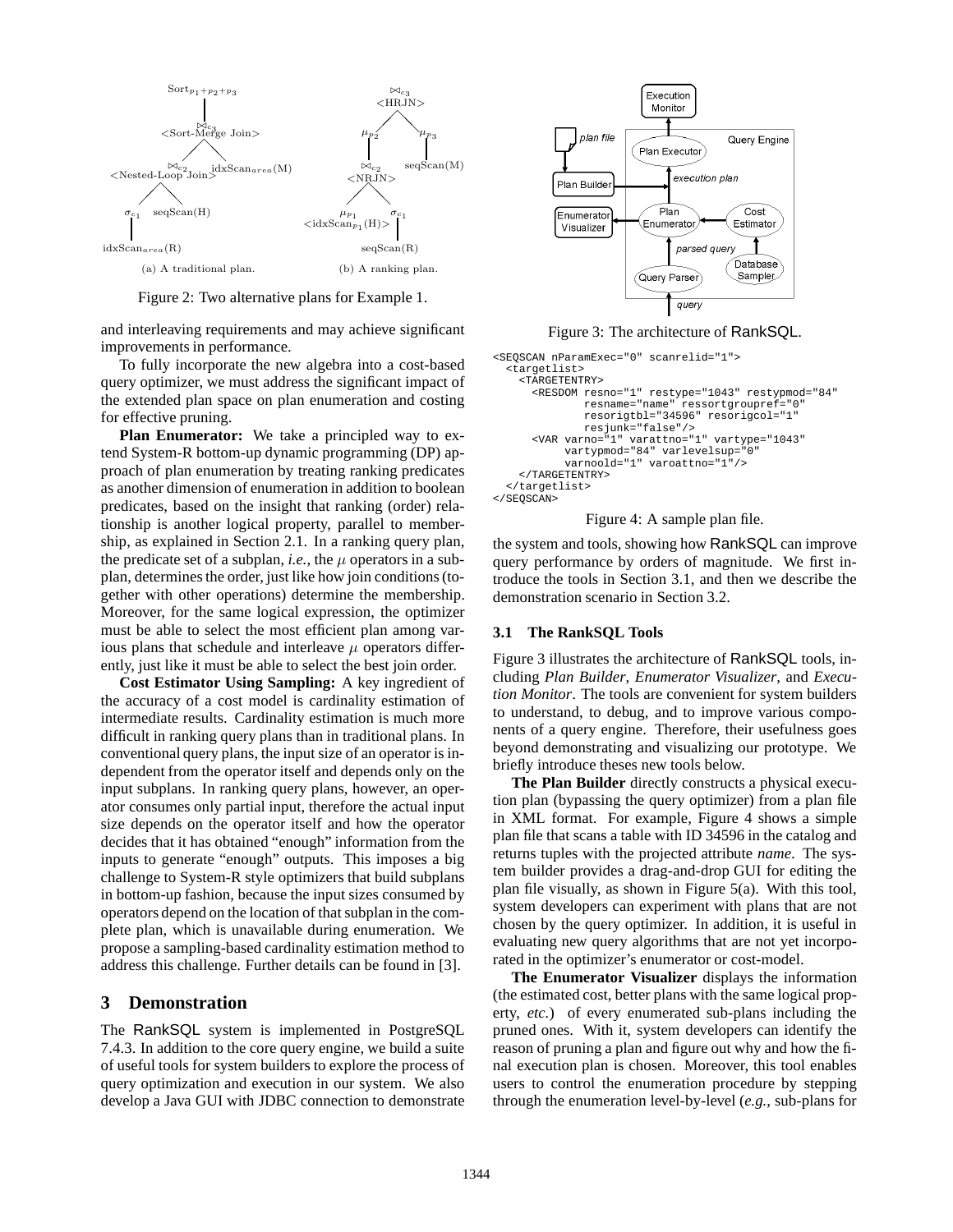

Figure 2: Two alternative plans for Example 1.

and interleaving requirements and may achieve significant improvements in performance.

To fully incorporate the new algebra into a cost-based query optimizer, we must address the significant impact of the extended plan space on plan enumeration and costing for effective pruning.

**Plan Enumerator:** We take a principled way to extend System-R bottom-up dynamic programming (DP) approach of plan enumeration by treating ranking predicates as another dimension of enumeration in addition to boolean predicates, based on the insight that ranking (order) relationship is another logical property, parallel to membership, as explained in Section 2.1. In a ranking query plan, the predicate set of a subplan, *i.e.*, the  $\mu$  operators in a subplan, determinesthe order, just like how join conditions(together with other operations) determine the membership. Moreover, for the same logical expression, the optimizer must be able to select the most efficient plan among various plans that schedule and interleave  $\mu$  operators differently, just like it must be able to select the best join order.

**Cost Estimator Using Sampling:** A key ingredient of the accuracy of a cost model is cardinality estimation of intermediate results. Cardinality estimation is much more difficult in ranking query plans than in traditional plans. In conventional query plans, the input size of an operator is independent from the operator itself and depends only on the input subplans. In ranking query plans, however, an operator consumes only partial input, therefore the actual input size depends on the operator itself and how the operator decides that it has obtained "enough" information from the inputs to generate "enough" outputs. This imposes a big challenge to System-R style optimizers that build subplans in bottom-up fashion, because the input sizes consumed by operators depend on the location of that subplan in the complete plan, which is unavailable during enumeration. We propose a sampling-based cardinality estimation method to address this challenge. Further details can be found in [3].

## **3 Demonstration**

The RankSQL system is implemented in PostgreSQL 7.4.3. In addition to the core query engine, we build a suite of useful tools for system builders to explore the process of query optimization and execution in our system. We also develop a Java GUI with JDBC connection to demonstrate



Figure 3: The architecture of RankSQL.

```
<SEQSCAN nParamExec="0" scanrelid="1">
  <targetlist>
    <TARGETENTRY>
      <RESDOM resno="1" restype="1043" restypmod="84"
              resname="name" ressortgroupref="0"
              resorigtbl="34596" resorigcol="1"
              resjunk="false"/>
      <VAR varno="1" varattno="1" vartype="1043"
           vartypmod="84" varlevelsup="0"
           varnoold="1" varoattno="1"/>
    </TARGETENTRY>
  </targetlist>
</SEQSCAN>
```
Figure 4: A sample plan file.

the system and tools, showing how RankSQL can improve query performance by orders of magnitude. We first introduce the tools in Section 3.1, and then we describe the demonstration scenario in Section 3.2.

## **3.1 The RankSQL Tools**

Figure 3 illustrates the architecture of RankSQL tools, including *Plan Builder*, *Enumerator Visualizer*, and *Execution Monitor*. The tools are convenient for system builders to understand, to debug, and to improve various components of a query engine. Therefore, their usefulness goes beyond demonstrating and visualizing our prototype. We briefly introduce theses new tools below.

**The Plan Builder** directly constructs a physical execution plan (bypassing the query optimizer) from a plan file in XML format. For example, Figure 4 shows a simple plan file that scans a table with ID 34596 in the catalog and returns tuples with the projected attribute *name*. The system builder provides a drag-and-drop GUI for editing the plan file visually, as shown in Figure 5(a). With this tool, system developers can experiment with plans that are not chosen by the query optimizer. In addition, it is useful in evaluating new query algorithms that are not yet incorporated in the optimizer's enumerator or cost-model.

**The Enumerator Visualizer** displays the information (the estimated cost, better plans with the same logical property, *etc.*) of every enumerated sub-plans including the pruned ones. With it, system developers can identify the reason of pruning a plan and figure out why and how the final execution plan is chosen. Moreover, this tool enables users to control the enumeration procedure by stepping through the enumeration level-by-level (*e.g.*, sub-plans for